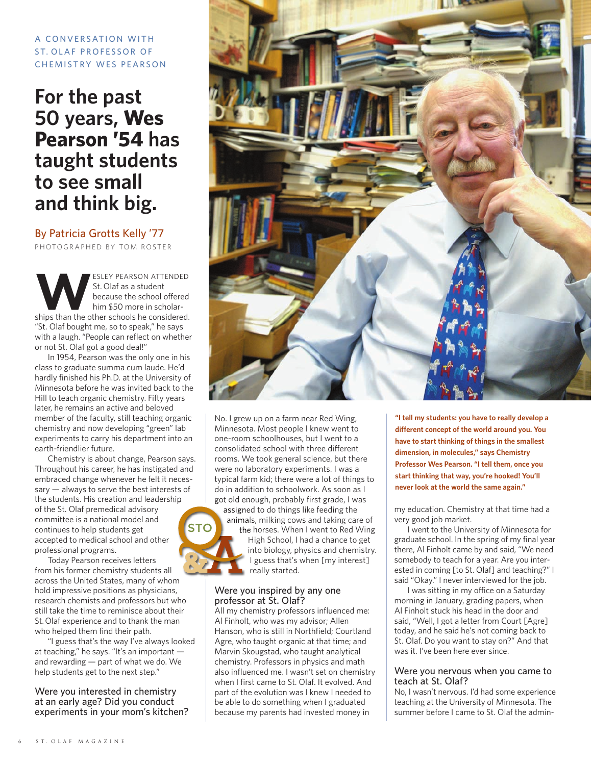### A CONVERSATION WITH ST. OLAF PROFESSOR OF **CHEMISTRY WES PEARSON**

# **For the past 50 years, Wes Pearson '54 has taught students to see small and think big.**

By Patricia Grotts Kelly '77 PHOTOGRAPHED BY TOM ROSTER

ESLEY PEARSON ATTENDED<br>St. Olaf as a student<br>because the school offered<br>him \$50 more in scholar-St. Olaf as a student because the school offered him \$50 more in scholarships than the other schools he considered. "St. Olaf bought me, so to speak," he says with a laugh. "People can reflect on whether or not St. Olaf got a good deal!"

In 1954, Pearson was the only one in his class to graduate summa cum laude. He'd hardly finished his Ph.D. at the University of Minnesota before he was invited back to the Hill to teach organic chemistry. Fifty years later, he remains an active and beloved member of the faculty, still teaching organic chemistry and now developing "green" lab experiments to carry his department into an earth-friendlier future.

Chemistry is about change, Pearson says. Throughout his career, he has instigated and embraced change whenever he felt it necessary — always to serve the best interests of the students. His creation and leadership of the St. Olaf premedical advisory committee is a national model and continues to help students get accepted to medical school and other professional programs. **STO**

Today Pearson receives letters from his former chemistry students all across the United States, many of whom hold impressive positions as physicians, research chemists and professors but who still take the time to reminisce about their St.Olaf experience and to thank the man who helped them find their path.

"I guess that's the way I've always looked at teaching," he says. "It's an important and rewarding — part of what we do. We help students get to the next step."

Were you interested in chemistry at an early age? Did you conduct experiments in your mom's kitchen?



No. I grew up on a farm near Red Wing, Minnesota. Most people I knew went to one-room schoolhouses, but I went to a consolidated school with three different rooms. We took general science, but there were no laboratory experiments. I was a typical farm kid; there were a lot of things to do in addition to schoolwork. As soon as I got old enough, probably first grade, I was

assigned to do things like feeding the animals, milking cows and taking care of the horses. When I went to Red Wing High School, I had a chance to get into biology, physics and chemistry. I guess that's when [my interest]

#### Were you inspired by any one professor at St. Olaf?

really started.

All my chemistry professors influenced me: Al Finholt, who was my advisor; Allen Hanson, who is still in Northfield; Courtland Agre, who taught organic at that time; and Marvin Skougstad, who taught analytical chemistry. Professors in physics and math also influenced me. I wasn't set on chemistry when I first came to St. Olaf. It evolved. And part of the evolution was I knew I needed to be able to do something when I graduated because my parents had invested money in

**"I tell my students: you have to really develop a different concept of the world around you. You have to start thinking of things in the smallest dimension, in molecules," says Chemistry Professor Wes Pearson. "I tell them, once you start thinking that way, you're hooked! You'll never look at the world the same again."**

my education. Chemistry at that time had a very good job market.

I went to the University of Minnesota for graduate school. In the spring of my final year there, Al Finholt came by and said, "We need somebody to teach for a year. Are you interested in coming [to St. Olaf] and teaching?" I said "Okay." I never interviewed for the job.

I was sitting in my office on a Saturday morning in January, grading papers, when Al Finholt stuck his head in the door and said, "Well, I got a letter from Court [Agre] today, and he said he's not coming back to St. Olaf. Do you want to stay on?" And that was it. I've been here ever since.

#### Were you nervous when you came to teach at St. Olaf?

No, I wasn't nervous. I'd had some experience teaching at the University of Minnesota. The summer before I came to St. Olaf the admin-